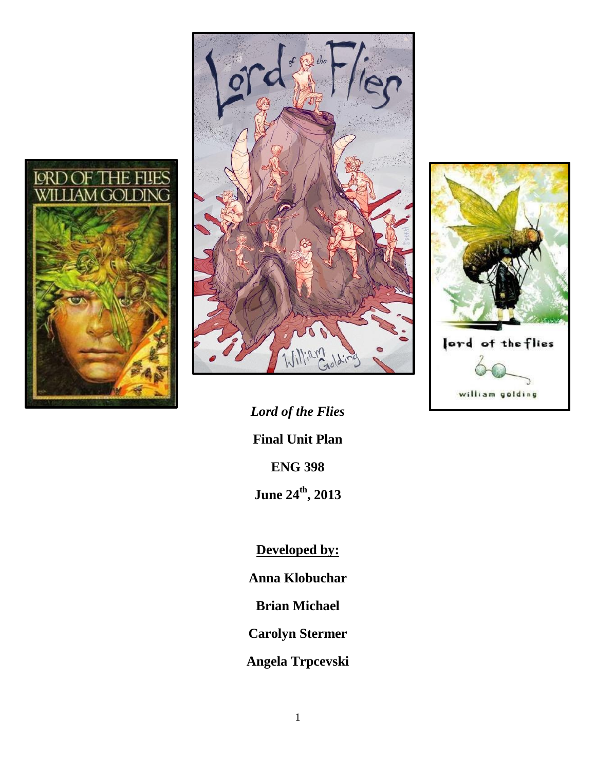



*Lord of the Flies* **Final Unit Plan ENG 398 June 24th, 2013**

**Developed by:**

**Anna Klobuchar**

**Brian Michael**

**Carolyn Stermer**

**Angela Trpcevski**

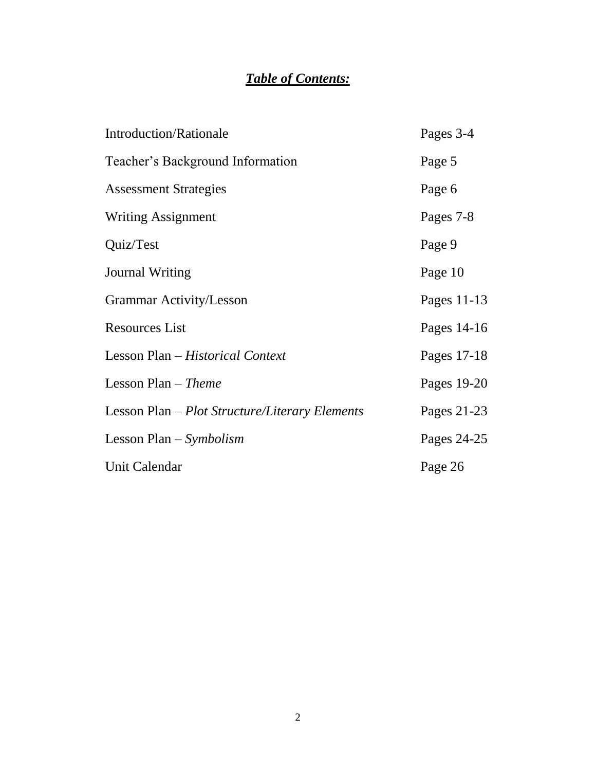# *Table of Contents:*

| <b>Introduction/Rationale</b>                  | Pages 3-4   |
|------------------------------------------------|-------------|
| Teacher's Background Information               | Page 5      |
| <b>Assessment Strategies</b>                   | Page 6      |
| <b>Writing Assignment</b>                      | Pages 7-8   |
| Quiz/Test                                      | Page 9      |
| <b>Journal Writing</b>                         | Page 10     |
| <b>Grammar Activity/Lesson</b>                 | Pages 11-13 |
| <b>Resources List</b>                          | Pages 14-16 |
| Lesson Plan - Historical Context               | Pages 17-18 |
| Lesson Plan $-$ Theme                          | Pages 19-20 |
| Lesson Plan - Plot Structure/Literary Elements | Pages 21-23 |
| Lesson Plan $-Symbolism$                       | Pages 24-25 |
| Unit Calendar                                  | Page 26     |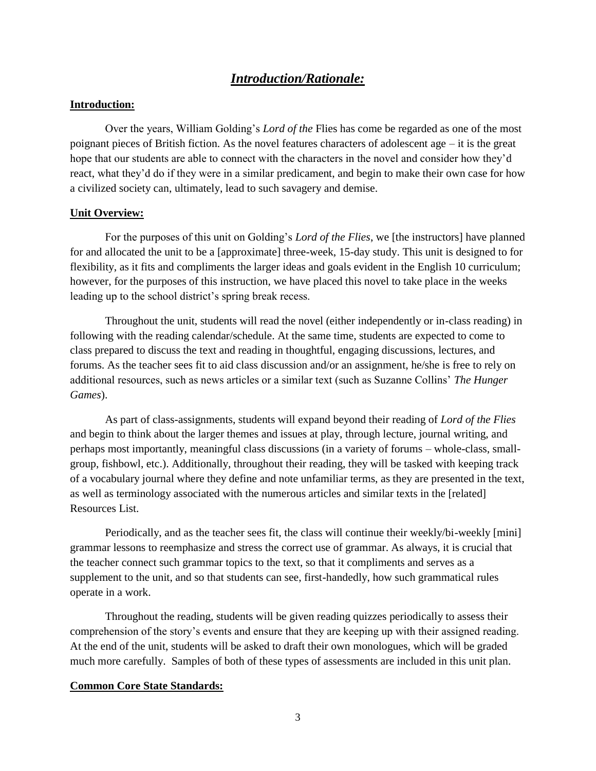## *Introduction/Rationale:*

### **Introduction:**

Over the years, William Golding's *Lord of the* Flies has come be regarded as one of the most poignant pieces of British fiction. As the novel features characters of adolescent age – it is the great hope that our students are able to connect with the characters in the novel and consider how they'd react, what they'd do if they were in a similar predicament, and begin to make their own case for how a civilized society can, ultimately, lead to such savagery and demise.

#### **Unit Overview:**

For the purposes of this unit on Golding's *Lord of the Flies*, we [the instructors] have planned for and allocated the unit to be a [approximate] three-week, 15-day study. This unit is designed to for flexibility, as it fits and compliments the larger ideas and goals evident in the English 10 curriculum; however, for the purposes of this instruction, we have placed this novel to take place in the weeks leading up to the school district's spring break recess.

Throughout the unit, students will read the novel (either independently or in-class reading) in following with the reading calendar/schedule. At the same time, students are expected to come to class prepared to discuss the text and reading in thoughtful, engaging discussions, lectures, and forums. As the teacher sees fit to aid class discussion and/or an assignment, he/she is free to rely on additional resources, such as news articles or a similar text (such as Suzanne Collins' *The Hunger Games*).

As part of class-assignments, students will expand beyond their reading of *Lord of the Flies* and begin to think about the larger themes and issues at play, through lecture, journal writing, and perhaps most importantly, meaningful class discussions (in a variety of forums – whole-class, smallgroup, fishbowl, etc.). Additionally, throughout their reading, they will be tasked with keeping track of a vocabulary journal where they define and note unfamiliar terms, as they are presented in the text, as well as terminology associated with the numerous articles and similar texts in the [related] Resources List.

Periodically, and as the teacher sees fit, the class will continue their weekly/bi-weekly [mini] grammar lessons to reemphasize and stress the correct use of grammar. As always, it is crucial that the teacher connect such grammar topics to the text, so that it compliments and serves as a supplement to the unit, and so that students can see, first-handedly, how such grammatical rules operate in a work.

Throughout the reading, students will be given reading quizzes periodically to assess their comprehension of the story's events and ensure that they are keeping up with their assigned reading. At the end of the unit, students will be asked to draft their own monologues, which will be graded much more carefully. Samples of both of these types of assessments are included in this unit plan.

#### **Common Core State Standards:**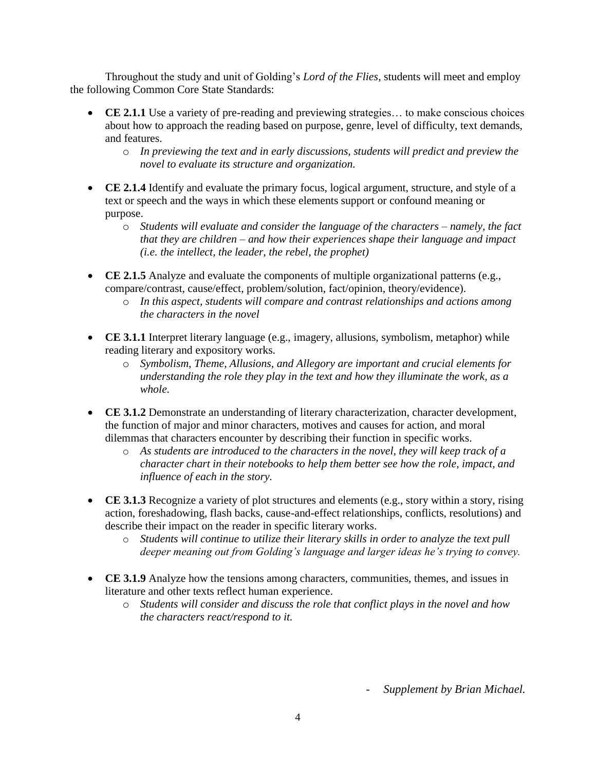Throughout the study and unit of Golding's *Lord of the Flies*, students will meet and employ the following Common Core State Standards:

- **CE 2.1.1** Use a variety of pre-reading and previewing strategies… to make conscious choices about how to approach the reading based on purpose, genre, level of difficulty, text demands, and features.
	- o *In previewing the text and in early discussions, students will predict and preview the novel to evaluate its structure and organization.*
- **CE 2.1.4** Identify and evaluate the primary focus, logical argument, structure, and style of a text or speech and the ways in which these elements support or confound meaning or purpose.
	- o *Students will evaluate and consider the language of the characters – namely, the fact that they are children – and how their experiences shape their language and impact (i.e. the intellect, the leader, the rebel, the prophet)*
- **CE 2.1.5** Analyze and evaluate the components of multiple organizational patterns (e.g., compare/contrast, cause/effect, problem/solution, fact/opinion, theory/evidence).
	- o *In this aspect, students will compare and contrast relationships and actions among the characters in the novel*
- **CE 3.1.1** Interpret literary language (e.g., imagery, allusions, symbolism, metaphor) while reading literary and expository works.
	- o *Symbolism, Theme, Allusions, and Allegory are important and crucial elements for understanding the role they play in the text and how they illuminate the work, as a whole.*
- **CE 3.1.2** Demonstrate an understanding of literary characterization, character development, the function of major and minor characters, motives and causes for action, and moral dilemmas that characters encounter by describing their function in specific works.
	- o *As students are introduced to the characters in the novel, they will keep track of a character chart in their notebooks to help them better see how the role, impact, and influence of each in the story.*
- **CE 3.1.3** Recognize a variety of plot structures and elements (e.g., story within a story, rising action, foreshadowing, flash backs, cause-and-effect relationships, conflicts, resolutions) and describe their impact on the reader in specific literary works.
	- o *Students will continue to utilize their literary skills in order to analyze the text pull deeper meaning out from Golding's language and larger ideas he's trying to convey.*
- **CE 3.1.9** Analyze how the tensions among characters, communities, themes, and issues in literature and other texts reflect human experience.
	- o *Students will consider and discuss the role that conflict plays in the novel and how the characters react/respond to it.*

- *Supplement by Brian Michael.*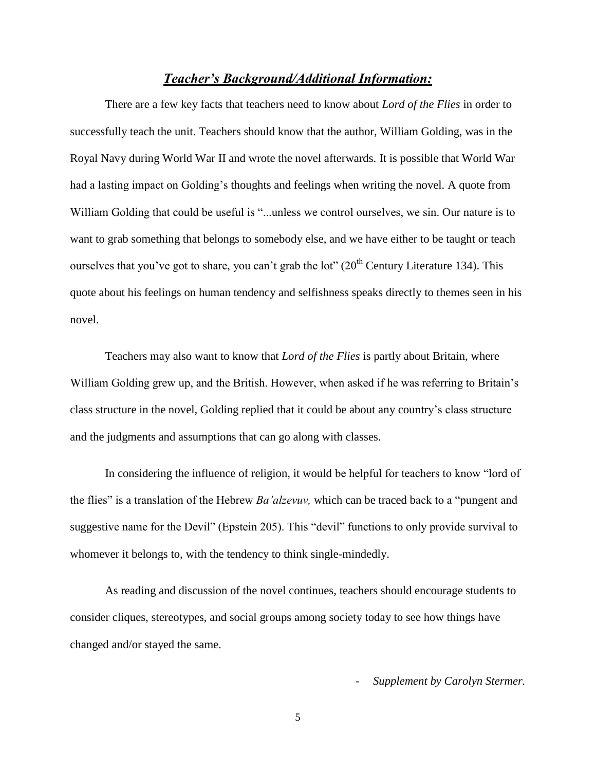### *Teacher's Background/Additional Information:*

There are a few key facts that teachers need to know about *Lord of the Flies* in order to successfully teach the unit. Teachers should know that the author, William Golding, was in the Royal Navy during World War II and wrote the novel afterwards. It is possible that World War had a lasting impact on Golding's thoughts and feelings when writing the novel. A quote from William Golding that could be useful is "...unless we control ourselves, we sin. Our nature is to want to grab something that belongs to somebody else, and we have either to be taught or teach ourselves that you've got to share, you can't grab the lot"  $(20<sup>th</sup>$  Century Literature 134). This quote about his feelings on human tendency and selfishness speaks directly to themes seen in his novel.

Teachers may also want to know that *Lord of the Flies* is partly about Britain, where William Golding grew up, and the British. However, when asked if he was referring to Britain's class structure in the novel, Golding replied that it could be about any country's class structure and the judgments and assumptions that can go along with classes.

In considering the influence of religion, it would be helpful for teachers to know "lord of the flies" is a translation of the Hebrew *Ba'alzevuv,* which can be traced back to a "pungent and suggestive name for the Devil" (Epstein 205). This "devil" functions to only provide survival to whomever it belongs to, with the tendency to think single-mindedly.

As reading and discussion of the novel continues, teachers should encourage students to consider cliques, stereotypes, and social groups among society today to see how things have changed and/or stayed the same.

- *Supplement by Carolyn Stermer.*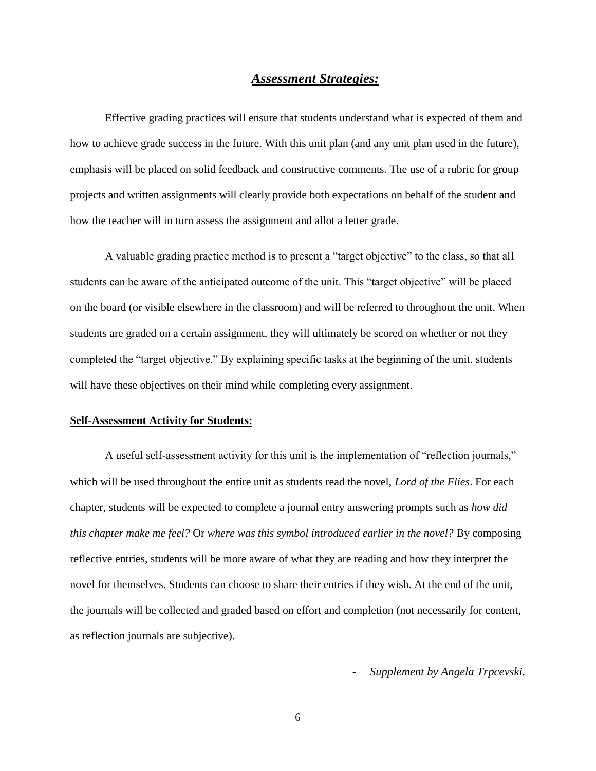## *Assessment Strategies:*

Effective grading practices will ensure that students understand what is expected of them and how to achieve grade success in the future. With this unit plan (and any unit plan used in the future), emphasis will be placed on solid feedback and constructive comments. The use of a rubric for group projects and written assignments will clearly provide both expectations on behalf of the student and how the teacher will in turn assess the assignment and allot a letter grade.

A valuable grading practice method is to present a "target objective" to the class, so that all students can be aware of the anticipated outcome of the unit. This "target objective" will be placed on the board (or visible elsewhere in the classroom) and will be referred to throughout the unit. When students are graded on a certain assignment, they will ultimately be scored on whether or not they completed the "target objective." By explaining specific tasks at the beginning of the unit, students will have these objectives on their mind while completing every assignment.

#### **Self-Assessment Activity for Students:**

A useful self-assessment activity for this unit is the implementation of "reflection journals," which will be used throughout the entire unit as students read the novel, *Lord of the Flies*. For each chapter, students will be expected to complete a journal entry answering prompts such as *how did this chapter make me feel?* Or *where was this symbol introduced earlier in the novel?* By composing reflective entries, students will be more aware of what they are reading and how they interpret the novel for themselves. Students can choose to share their entries if they wish. At the end of the unit, the journals will be collected and graded based on effort and completion (not necessarily for content, as reflection journals are subjective).

- *Supplement by Angela Trpcevski.*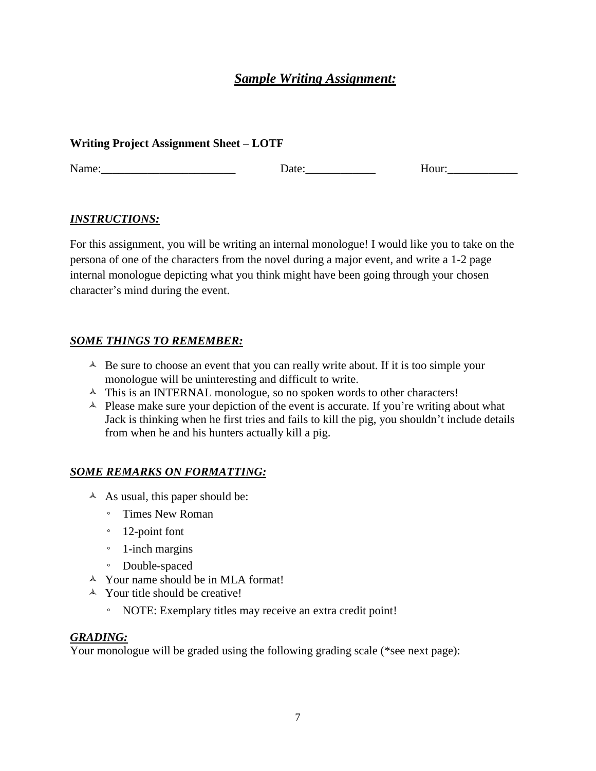## *Sample Writing Assignment:*

## **Writing Project Assignment Sheet – LOTF**

Name:\_\_\_\_\_\_\_\_\_\_\_\_\_\_\_\_\_\_\_\_\_\_\_ Date:\_\_\_\_\_\_\_\_\_\_\_\_ Hour:\_\_\_\_\_\_\_\_\_\_\_\_

## *INSTRUCTIONS:*

For this assignment, you will be writing an internal monologue! I would like you to take on the persona of one of the characters from the novel during a major event, and write a 1-2 page internal monologue depicting what you think might have been going through your chosen character's mind during the event.

## *SOME THINGS TO REMEMBER:*

- $\triangle$  Be sure to choose an event that you can really write about. If it is too simple your monologue will be uninteresting and difficult to write.
- $\triangle$  This is an INTERNAL monologue, so no spoken words to other characters!
- $\triangle$  Please make sure your depiction of the event is accurate. If you're writing about what Jack is thinking when he first tries and fails to kill the pig, you shouldn't include details from when he and his hunters actually kill a pig.

## *SOME REMARKS ON FORMATTING:*

- $\triangle$  As usual, this paper should be:
	- Times New Roman
	- 12-point font
	- 1-inch margins
	- Double-spaced
- Your name should be in MLA format!
- $\triangle$  Your title should be creative!
	- NOTE: Exemplary titles may receive an extra credit point!

## *GRADING:*

Your monologue will be graded using the following grading scale (\*see next page):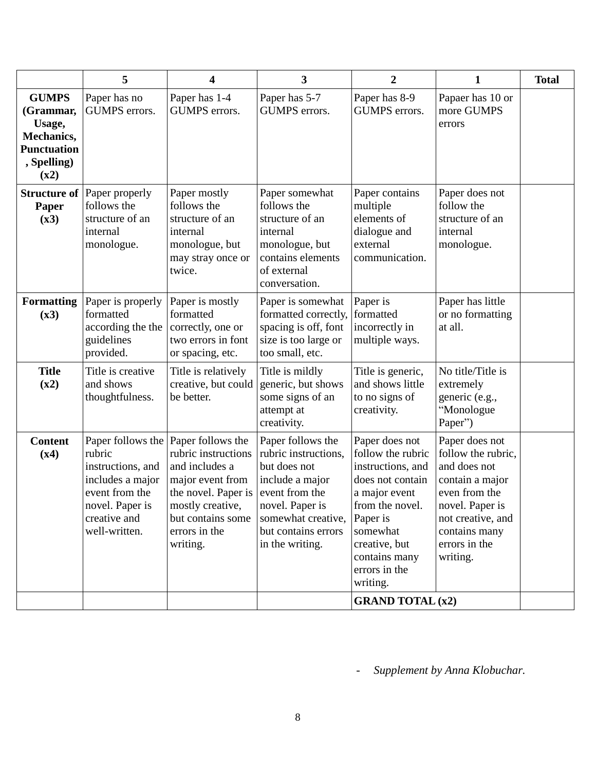|                                                                                                | 5                                                                                                                     | 4                                                                                                                                                                                             | $\overline{\mathbf{3}}$                                                                                                                                                           | $\overline{2}$                                                                                                                                                                                                                     | 1                                                                                                                                                                              | <b>Total</b> |
|------------------------------------------------------------------------------------------------|-----------------------------------------------------------------------------------------------------------------------|-----------------------------------------------------------------------------------------------------------------------------------------------------------------------------------------------|-----------------------------------------------------------------------------------------------------------------------------------------------------------------------------------|------------------------------------------------------------------------------------------------------------------------------------------------------------------------------------------------------------------------------------|--------------------------------------------------------------------------------------------------------------------------------------------------------------------------------|--------------|
| <b>GUMPS</b><br>(Grammar,<br>Usage,<br>Mechanics,<br><b>Punctuation</b><br>, Spelling)<br>(x2) | Paper has no<br>GUMPS errors.                                                                                         | Paper has 1-4<br>GUMPS errors.                                                                                                                                                                | Paper has 5-7<br>GUMPS errors.                                                                                                                                                    | Paper has 8-9<br>GUMPS errors.                                                                                                                                                                                                     | Papaer has 10 or<br>more GUMPS<br>errors                                                                                                                                       |              |
| <b>Structure of</b><br>Paper<br>(x3)                                                           | Paper properly<br>follows the<br>structure of an<br>internal<br>monologue.                                            | Paper mostly<br>follows the<br>structure of an<br>internal<br>monologue, but<br>may stray once or<br>twice.                                                                                   | Paper somewhat<br>follows the<br>structure of an<br>internal<br>monologue, but<br>contains elements<br>of external<br>conversation.                                               | Paper contains<br>multiple<br>elements of<br>dialogue and<br>external<br>communication.                                                                                                                                            | Paper does not<br>follow the<br>structure of an<br>internal<br>monologue.                                                                                                      |              |
| <b>Formatting</b><br>(x3)                                                                      | Paper is properly<br>formatted<br>according the the<br>guidelines<br>provided.                                        | Paper is mostly<br>formatted<br>correctly, one or<br>two errors in font<br>or spacing, etc.                                                                                                   | Paper is somewhat<br>formatted correctly,<br>spacing is off, font<br>size is too large or<br>too small, etc.                                                                      | Paper is<br>formatted<br>incorrectly in<br>multiple ways.                                                                                                                                                                          | Paper has little<br>or no formatting<br>at all.                                                                                                                                |              |
| <b>Title</b><br>(x2)                                                                           | Title is creative<br>and shows<br>thoughtfulness.                                                                     | Title is relatively<br>creative, but could<br>be better.                                                                                                                                      | Title is mildly<br>generic, but shows<br>some signs of an<br>attempt at<br>creativity.                                                                                            | Title is generic,<br>and shows little<br>to no signs of<br>creativity.                                                                                                                                                             | No title/Title is<br>extremely<br>generic (e.g.,<br>"Monologue<br>Paper")                                                                                                      |              |
| <b>Content</b><br>(x4)                                                                         | rubric<br>instructions, and<br>includes a major<br>event from the<br>novel. Paper is<br>creative and<br>well-written. | Paper follows the Paper follows the<br>rubric instructions<br>and includes a<br>major event from<br>the novel. Paper is<br>mostly creative,<br>but contains some<br>errors in the<br>writing. | Paper follows the<br>rubric instructions,<br>but does not<br>include a major<br>event from the<br>novel. Paper is<br>somewhat creative,<br>but contains errors<br>in the writing. | Paper does not<br>follow the rubric<br>instructions, and<br>does not contain<br>a major event<br>from the novel.<br>Paper is<br>somewhat<br>creative, but<br>contains many<br>errors in the<br>writing.<br><b>GRAND TOTAL (x2)</b> | Paper does not<br>follow the rubric,<br>and does not<br>contain a major<br>even from the<br>novel. Paper is<br>not creative, and<br>contains many<br>errors in the<br>writing. |              |

- *Supplement by Anna Klobuchar.*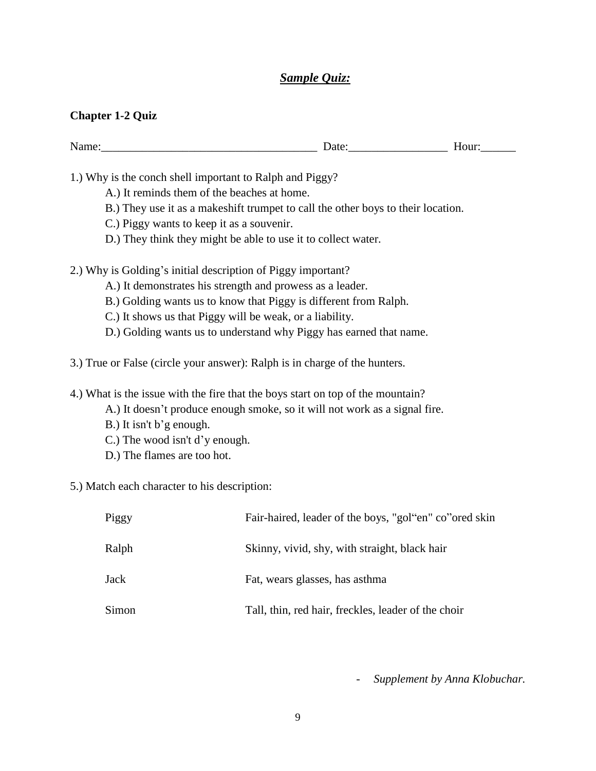## *Sample Quiz:*

### **Chapter 1-2 Quiz**

| N<br>манк | $\sim$ .<br>. A I H<br>--<br>----<br>___ | $ -$<br>- --<br>$\cdots$<br>-- |
|-----------|------------------------------------------|--------------------------------|
|           |                                          |                                |

1.) Why is the conch shell important to Ralph and Piggy?

- A.) It reminds them of the beaches at home.
- B.) They use it as a makeshift trumpet to call the other boys to their location.
- C.) Piggy wants to keep it as a souvenir.
- D.) They think they might be able to use it to collect water.

2.) Why is Golding's initial description of Piggy important?

- A.) It demonstrates his strength and prowess as a leader.
- B.) Golding wants us to know that Piggy is different from Ralph.
- C.) It shows us that Piggy will be weak, or a liability.
- D.) Golding wants us to understand why Piggy has earned that name.

3.) True or False (circle your answer): Ralph is in charge of the hunters.

4.) What is the issue with the fire that the boys start on top of the mountain?

- A.) It doesn't produce enough smoke, so it will not work as a signal fire.
- B.) It isn't b'g enough.
- C.) The wood isn't d'y enough.
- D.) The flames are too hot.

5.) Match each character to his description:

| Piggy | Fair-haired, leader of the boys, "gol"en" co" ored skin |
|-------|---------------------------------------------------------|
| Ralph | Skinny, vivid, shy, with straight, black hair           |
| Jack  | Fat, wears glasses, has asthma                          |
| Simon | Tall, thin, red hair, freckles, leader of the choir     |

- *Supplement by Anna Klobuchar.*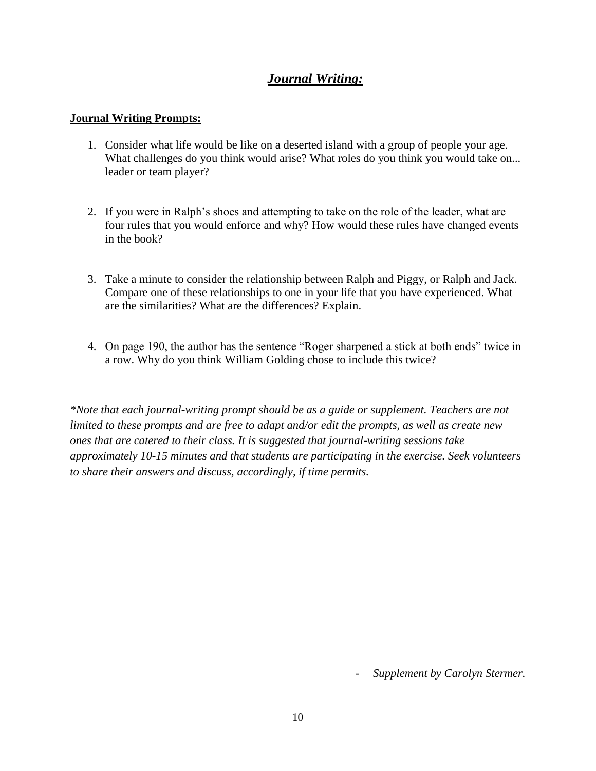## *Journal Writing:*

### **Journal Writing Prompts:**

- 1. Consider what life would be like on a deserted island with a group of people your age. What challenges do you think would arise? What roles do you think you would take on... leader or team player?
- 2. If you were in Ralph's shoes and attempting to take on the role of the leader, what are four rules that you would enforce and why? How would these rules have changed events in the book?
- 3. Take a minute to consider the relationship between Ralph and Piggy, or Ralph and Jack. Compare one of these relationships to one in your life that you have experienced. What are the similarities? What are the differences? Explain.
- 4. On page 190, the author has the sentence "Roger sharpened a stick at both ends" twice in a row. Why do you think William Golding chose to include this twice?

*\*Note that each journal-writing prompt should be as a guide or supplement. Teachers are not limited to these prompts and are free to adapt and/or edit the prompts, as well as create new ones that are catered to their class. It is suggested that journal-writing sessions take approximately 10-15 minutes and that students are participating in the exercise. Seek volunteers to share their answers and discuss, accordingly, if time permits.*

- *Supplement by Carolyn Stermer.*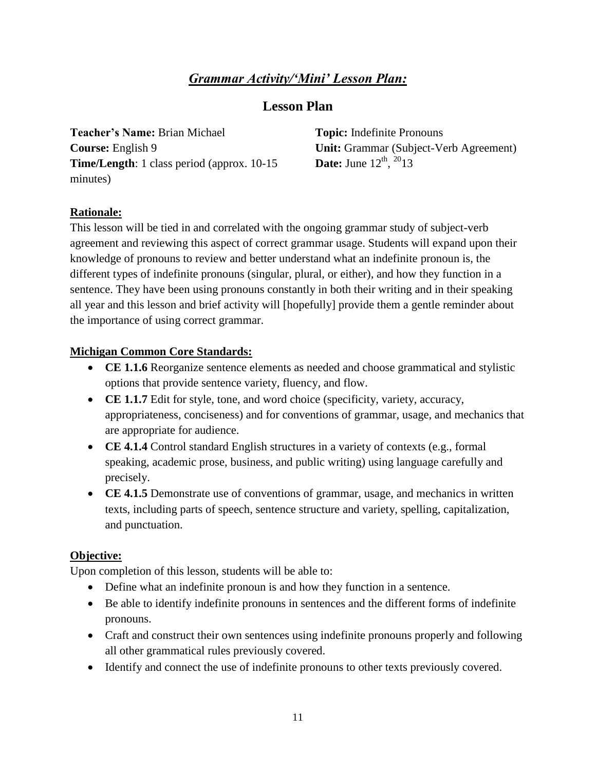## *Grammar Activity/'Mini' Lesson Plan:*

## **Lesson Plan**

**Teacher's Name:** Brian Michael **Course:** English 9 **Time/Length**: 1 class period (approx. 10-15 minutes)

**Topic:** Indefinite Pronouns **Unit:** Grammar (Subject-Verb Agreement) **Date:** June  $12^{th}$ ,  $2^{0}13$ 

## **Rationale:**

This lesson will be tied in and correlated with the ongoing grammar study of subject-verb agreement and reviewing this aspect of correct grammar usage. Students will expand upon their knowledge of pronouns to review and better understand what an indefinite pronoun is, the different types of indefinite pronouns (singular, plural, or either), and how they function in a sentence. They have been using pronouns constantly in both their writing and in their speaking all year and this lesson and brief activity will [hopefully] provide them a gentle reminder about the importance of using correct grammar.

## **Michigan Common Core Standards:**

- **CE 1.1.6** Reorganize sentence elements as needed and choose grammatical and stylistic options that provide sentence variety, fluency, and flow.
- **CE 1.1.7** Edit for style, tone, and word choice (specificity, variety, accuracy, appropriateness, conciseness) and for conventions of grammar, usage, and mechanics that are appropriate for audience.
- **CE 4.1.4** Control standard English structures in a variety of contexts (e.g., formal speaking, academic prose, business, and public writing) using language carefully and precisely.
- **CE 4.1.5** Demonstrate use of conventions of grammar, usage, and mechanics in written texts, including parts of speech, sentence structure and variety, spelling, capitalization, and punctuation.

## **Objective:**

Upon completion of this lesson, students will be able to:

- Define what an indefinite pronoun is and how they function in a sentence.
- Be able to identify indefinite pronouns in sentences and the different forms of indefinite pronouns.
- Craft and construct their own sentences using indefinite pronouns properly and following all other grammatical rules previously covered.
- Identify and connect the use of indefinite pronouns to other texts previously covered.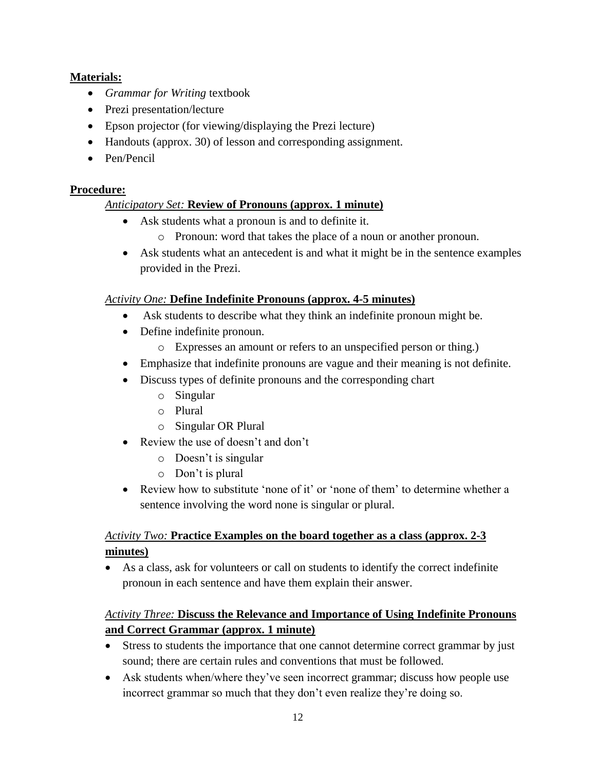## **Materials:**

- *Grammar for Writing* textbook
- Prezi presentation/lecture
- Epson projector (for viewing/displaying the Prezi lecture)
- Handouts (approx. 30) of lesson and corresponding assignment.
- Pen/Pencil

## **Procedure:**

## *Anticipatory Set:* **Review of Pronouns (approx. 1 minute)**

- Ask students what a pronoun is and to definite it.
	- o Pronoun: word that takes the place of a noun or another pronoun.
- Ask students what an antecedent is and what it might be in the sentence examples provided in the Prezi.

## *Activity One:* **Define Indefinite Pronouns (approx. 4-5 minutes)**

- Ask students to describe what they think an indefinite pronoun might be.
- Define indefinite pronoun.
	- o Expresses an amount or refers to an unspecified person or thing.)
- Emphasize that indefinite pronouns are vague and their meaning is not definite.
- Discuss types of definite pronouns and the corresponding chart
	- o Singular
	- o Plural
	- o Singular OR Plural
- Review the use of doesn't and don't
	- o Doesn't is singular
	- o Don't is plural
- Review how to substitute 'none of it' or 'none of them' to determine whether a sentence involving the word none is singular or plural.

## *Activity Two:* **Practice Examples on the board together as a class (approx. 2-3 minutes)**

 As a class, ask for volunteers or call on students to identify the correct indefinite pronoun in each sentence and have them explain their answer.

## *Activity Three:* **Discuss the Relevance and Importance of Using Indefinite Pronouns and Correct Grammar (approx. 1 minute)**

- Stress to students the importance that one cannot determine correct grammar by just sound; there are certain rules and conventions that must be followed.
- Ask students when/where they've seen incorrect grammar; discuss how people use incorrect grammar so much that they don't even realize they're doing so.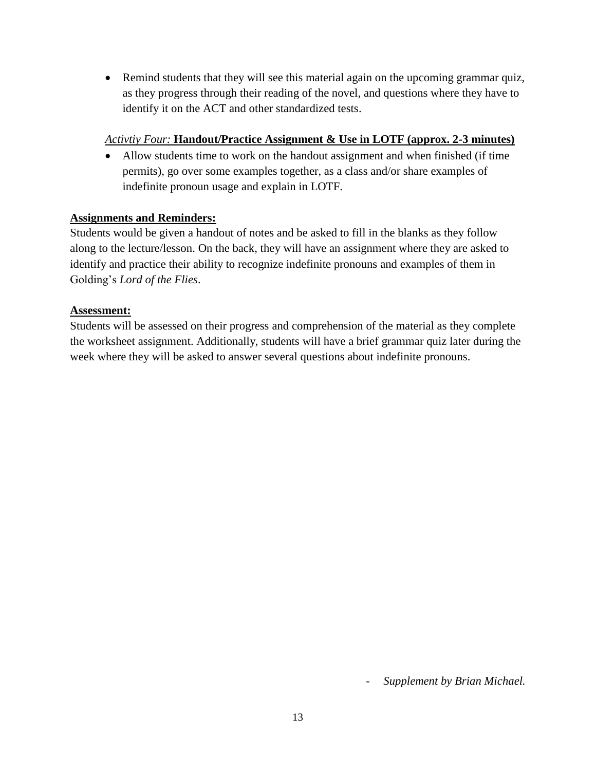Remind students that they will see this material again on the upcoming grammar quiz, as they progress through their reading of the novel, and questions where they have to identify it on the ACT and other standardized tests.

## *Activtiy Four:* **Handout/Practice Assignment & Use in LOTF (approx. 2-3 minutes)**

 Allow students time to work on the handout assignment and when finished (if time permits), go over some examples together, as a class and/or share examples of indefinite pronoun usage and explain in LOTF.

## **Assignments and Reminders:**

Students would be given a handout of notes and be asked to fill in the blanks as they follow along to the lecture/lesson. On the back, they will have an assignment where they are asked to identify and practice their ability to recognize indefinite pronouns and examples of them in Golding's *Lord of the Flies*.

## **Assessment:**

Students will be assessed on their progress and comprehension of the material as they complete the worksheet assignment. Additionally, students will have a brief grammar quiz later during the week where they will be asked to answer several questions about indefinite pronouns.

- *Supplement by Brian Michael.*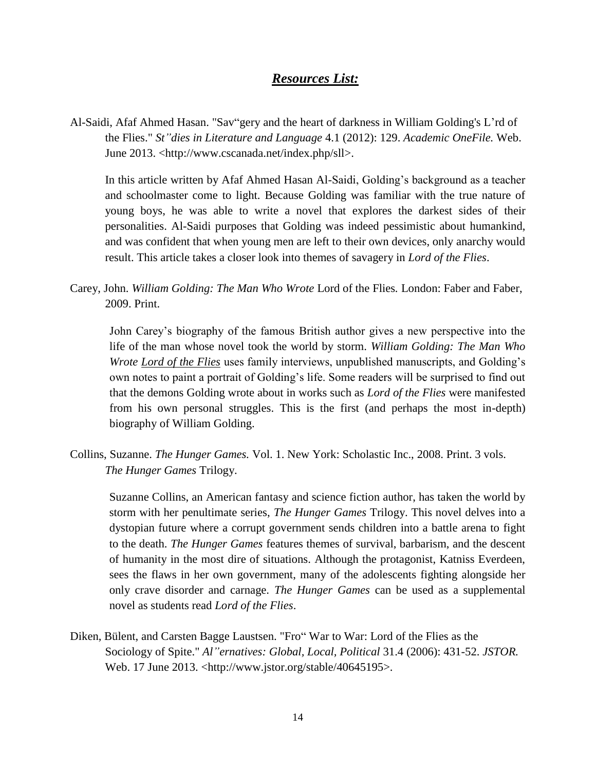## *Resources List:*

Al-Saidi, Afaf Ahmed Hasan. "Sav"gery and the heart of darkness in William Golding's L'rd of the Flies." *St"dies in Literature and Language* 4.1 (2012): 129. *Academic OneFile.* Web. June 2013. <http://www.cscanada.net/index.php/sll>.

In this article written by Afaf Ahmed Hasan Al-Saidi, Golding's background as a teacher and schoolmaster come to light. Because Golding was familiar with the true nature of young boys, he was able to write a novel that explores the darkest sides of their personalities. Al-Saidi purposes that Golding was indeed pessimistic about humankind, and was confident that when young men are left to their own devices, only anarchy would result. This article takes a closer look into themes of savagery in *Lord of the Flies*.

Carey, John. *William Golding: The Man Who Wrote* Lord of the Flies*.* London: Faber and Faber, 2009. Print.

John Carey's biography of the famous British author gives a new perspective into the life of the man whose novel took the world by storm. *William Golding: The Man Who Wrote Lord of the Flies* uses family interviews, unpublished manuscripts, and Golding's own notes to paint a portrait of Golding's life. Some readers will be surprised to find out that the demons Golding wrote about in works such as *Lord of the Flies* were manifested from his own personal struggles. This is the first (and perhaps the most in-depth) biography of William Golding.

Collins, Suzanne. *The Hunger Games.* Vol. 1. New York: Scholastic Inc., 2008. Print. 3 vols. *The Hunger Games* Trilogy.

Suzanne Collins, an American fantasy and science fiction author, has taken the world by storm with her penultimate series, *The Hunger Games* Trilogy. This novel delves into a dystopian future where a corrupt government sends children into a battle arena to fight to the death. *The Hunger Games* features themes of survival, barbarism, and the descent of humanity in the most dire of situations. Although the protagonist, Katniss Everdeen, sees the flaws in her own government, many of the adolescents fighting alongside her only crave disorder and carnage. *The Hunger Games* can be used as a supplemental novel as students read *Lord of the Flies*.

Diken, Bülent, and Carsten Bagge Laustsen. "Fro" War to War: Lord of the Flies as the Sociology of Spite." *Al"ernatives: Global, Local, Political* 31.4 (2006): 431-52. *JSTOR.* Web. 17 June 2013. <http://www.jstor.org/stable/40645195>.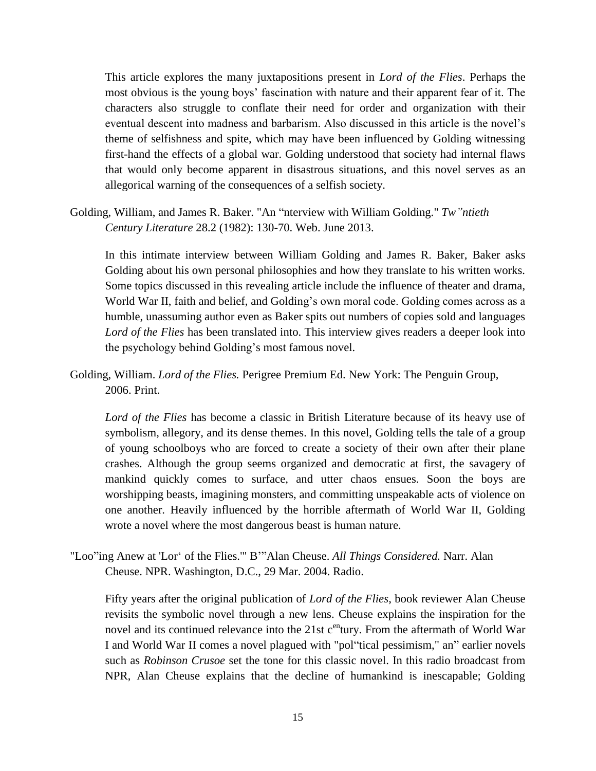This article explores the many juxtapositions present in *Lord of the Flies*. Perhaps the most obvious is the young boys' fascination with nature and their apparent fear of it. The characters also struggle to conflate their need for order and organization with their eventual descent into madness and barbarism. Also discussed in this article is the novel's theme of selfishness and spite, which may have been influenced by Golding witnessing first-hand the effects of a global war. Golding understood that society had internal flaws that would only become apparent in disastrous situations, and this novel serves as an allegorical warning of the consequences of a selfish society.

Golding, William, and James R. Baker. "An "nterview with William Golding." *Tw"ntieth Century Literature* 28.2 (1982): 130-70. Web. June 2013.

In this intimate interview between William Golding and James R. Baker, Baker asks Golding about his own personal philosophies and how they translate to his written works. Some topics discussed in this revealing article include the influence of theater and drama, World War II, faith and belief, and Golding's own moral code. Golding comes across as a humble, unassuming author even as Baker spits out numbers of copies sold and languages *Lord of the Flies* has been translated into. This interview gives readers a deeper look into the psychology behind Golding's most famous novel.

Golding, William. *Lord of the Flies.* Perigree Premium Ed. New York: The Penguin Group, 2006. Print.

*Lord of the Flies* has become a classic in British Literature because of its heavy use of symbolism, allegory, and its dense themes. In this novel, Golding tells the tale of a group of young schoolboys who are forced to create a society of their own after their plane crashes. Although the group seems organized and democratic at first, the savagery of mankind quickly comes to surface, and utter chaos ensues. Soon the boys are worshipping beasts, imagining monsters, and committing unspeakable acts of violence on one another. Heavily influenced by the horrible aftermath of World War II, Golding wrote a novel where the most dangerous beast is human nature.

"Loo"ing Anew at 'Lor' of the Flies.'" B'"Alan Cheuse. *All Things Considered.* Narr. Alan Cheuse. NPR. Washington, D.C., 29 Mar. 2004. Radio.

Fifty years after the original publication of *Lord of the Flies*, book reviewer Alan Cheuse revisits the symbolic novel through a new lens. Cheuse explains the inspiration for the novel and its continued relevance into the  $21st$  c<sup>en</sup>tury. From the aftermath of World War I and World War II comes a novel plagued with "pol"tical pessimism," an" earlier novels such as *Robinson Crusoe* set the tone for this classic novel. In this radio broadcast from NPR, Alan Cheuse explains that the decline of humankind is inescapable; Golding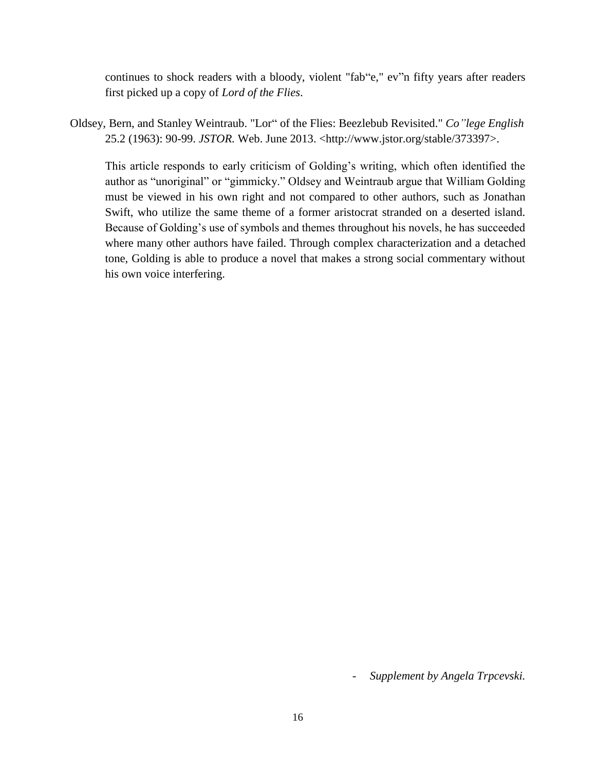continues to shock readers with a bloody, violent "fab"e," ev"n fifty years after readers first picked up a copy of *Lord of the Flies*.

Oldsey, Bern, and Stanley Weintraub. "Lor" of the Flies: Beezlebub Revisited." *Co"lege English* 25.2 (1963): 90-99. *JSTOR.* Web. June 2013. <http://www.jstor.org/stable/373397>.

This article responds to early criticism of Golding's writing, which often identified the author as "unoriginal" or "gimmicky." Oldsey and Weintraub argue that William Golding must be viewed in his own right and not compared to other authors, such as Jonathan Swift, who utilize the same theme of a former aristocrat stranded on a deserted island. Because of Golding's use of symbols and themes throughout his novels, he has succeeded where many other authors have failed. Through complex characterization and a detached tone, Golding is able to produce a novel that makes a strong social commentary without his own voice interfering.

- *Supplement by Angela Trpcevski.*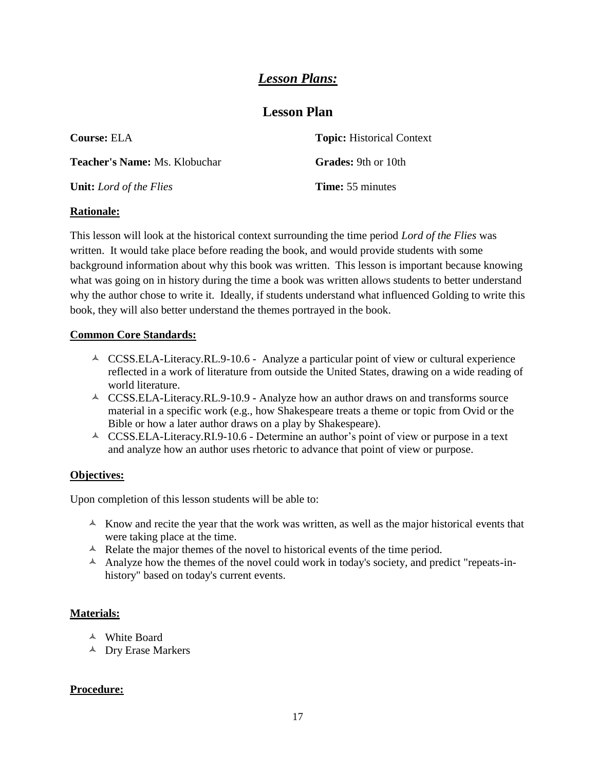## *Lesson Plans:*

## **Lesson Plan**

| <b>Course: ELA</b>                   | <b>Topic:</b> Historical Context |
|--------------------------------------|----------------------------------|
| <b>Teacher's Name:</b> Ms. Klobuchar | <b>Grades:</b> 9th or 10th       |
| <b>Unit:</b> Lord of the Flies       | <b>Time:</b> 55 minutes          |

### **Rationale:**

This lesson will look at the historical context surrounding the time period *Lord of the Flies* was written. It would take place before reading the book, and would provide students with some background information about why this book was written. This lesson is important because knowing what was going on in history during the time a book was written allows students to better understand why the author chose to write it. Ideally, if students understand what influenced Golding to write this book, they will also better understand the themes portrayed in the book.

### **Common Core Standards:**

- $\triangle$  CCSS.ELA-Literacy.RL.9-10.6 Analyze a particular point of view or cultural experience reflected in a work of literature from outside the United States, drawing on a wide reading of world literature.
- A CCSS.ELA-Literacy.RL.9-10.9 Analyze how an author draws on and transforms source material in a specific work (e.g., how Shakespeare treats a theme or topic from Ovid or the Bible or how a later author draws on a play by Shakespeare).
- $\triangle$  CCSS.ELA-Literacy.RI.9-10.6 Determine an author's point of view or purpose in a text and analyze how an author uses rhetoric to advance that point of view or purpose.

#### **Objectives:**

Upon completion of this lesson students will be able to:

- $\triangle$  Know and recite the year that the work was written, as well as the major historical events that were taking place at the time.
- $\triangle$  Relate the major themes of the novel to historical events of the time period.
- $\blacktriangle$  Analyze how the themes of the novel could work in today's society, and predict "repeats-inhistory" based on today's current events.

### **Materials:**

- White Board
- <sup> $\triangle$ </sup> Dry Erase Markers

#### **Procedure:**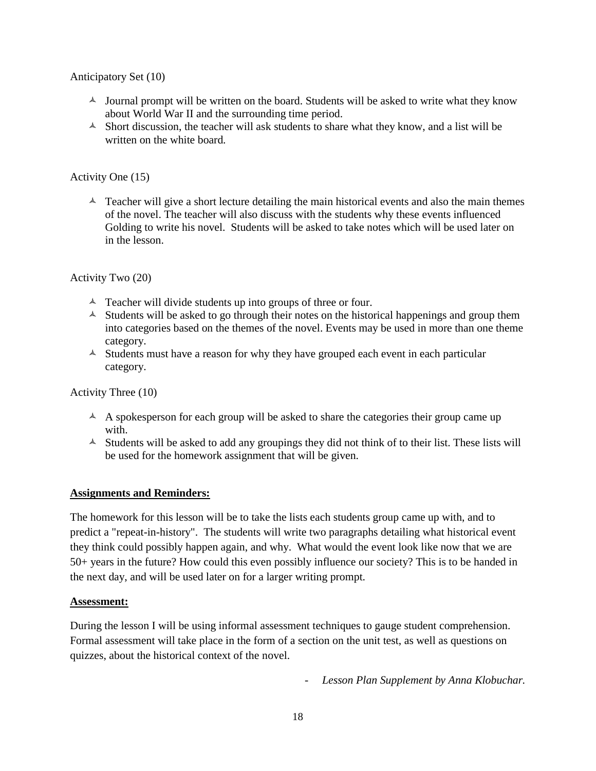Anticipatory Set (10)

- $\triangle$  Journal prompt will be written on the board. Students will be asked to write what they know about World War II and the surrounding time period.
- $\triangle$  Short discussion, the teacher will ask students to share what they know, and a list will be written on the white board.

Activity One (15)

 $\triangle$  Teacher will give a short lecture detailing the main historical events and also the main themes of the novel. The teacher will also discuss with the students why these events influenced Golding to write his novel. Students will be asked to take notes which will be used later on in the lesson.

Activity Two (20)

- $\triangle$  Teacher will divide students up into groups of three or four.
- $\triangle$  Students will be asked to go through their notes on the historical happenings and group them into categories based on the themes of the novel. Events may be used in more than one theme category.
- $\triangle$  Students must have a reason for why they have grouped each event in each particular category.

Activity Three (10)

- $\triangle$  A spokesperson for each group will be asked to share the categories their group came up with.
- $\triangle$  Students will be asked to add any groupings they did not think of to their list. These lists will be used for the homework assignment that will be given.

#### **Assignments and Reminders:**

The homework for this lesson will be to take the lists each students group came up with, and to predict a "repeat-in-history". The students will write two paragraphs detailing what historical event they think could possibly happen again, and why. What would the event look like now that we are 50+ years in the future? How could this even possibly influence our society? This is to be handed in the next day, and will be used later on for a larger writing prompt.

#### **Assessment:**

During the lesson I will be using informal assessment techniques to gauge student comprehension. Formal assessment will take place in the form of a section on the unit test, as well as questions on quizzes, about the historical context of the novel.

- *Lesson Plan Supplement by Anna Klobuchar.*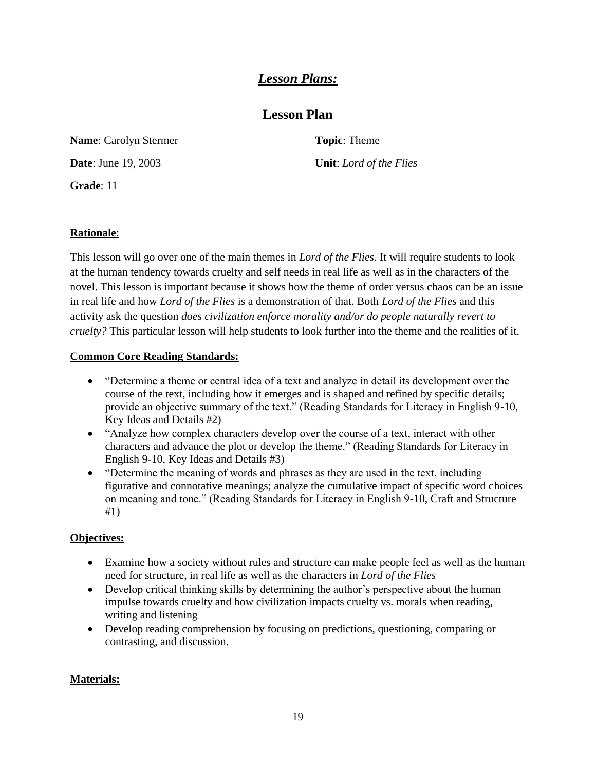## *Lesson Plans:*

## **Lesson Plan**

**Name**: Carolyn Stermer

**Date**: June 19, 2003

**Grade**: 11

**Topic**: Theme **Unit**: *Lord of the Flies*

## **Rationale**:

This lesson will go over one of the main themes in *Lord of the Flies.* It will require students to look at the human tendency towards cruelty and self needs in real life as well as in the characters of the novel. This lesson is important because it shows how the theme of order versus chaos can be an issue in real life and how *Lord of the Flies* is a demonstration of that. Both *Lord of the Flies* and this activity ask the question *does civilization enforce morality and/or do people naturally revert to cruelty?* This particular lesson will help students to look further into the theme and the realities of it.

## **Common Core Reading Standards:**

- "Determine a theme or central idea of a text and analyze in detail its development over the course of the text, including how it emerges and is shaped and refined by specific details; provide an objective summary of the text." (Reading Standards for Literacy in English 9-10, Key Ideas and Details #2)
- "Analyze how complex characters develop over the course of a text, interact with other characters and advance the plot or develop the theme." (Reading Standards for Literacy in English 9-10, Key Ideas and Details #3)
- "Determine the meaning of words and phrases as they are used in the text, including figurative and connotative meanings; analyze the cumulative impact of specific word choices on meaning and tone." (Reading Standards for Literacy in English 9-10, Craft and Structure #1)

## **Objectives:**

- Examine how a society without rules and structure can make people feel as well as the human need for structure, in real life as well as the characters in *Lord of the Flies*
- Develop critical thinking skills by determining the author's perspective about the human impulse towards cruelty and how civilization impacts cruelty vs. morals when reading, writing and listening
- Develop reading comprehension by focusing on predictions, questioning, comparing or contrasting, and discussion.

## **Materials:**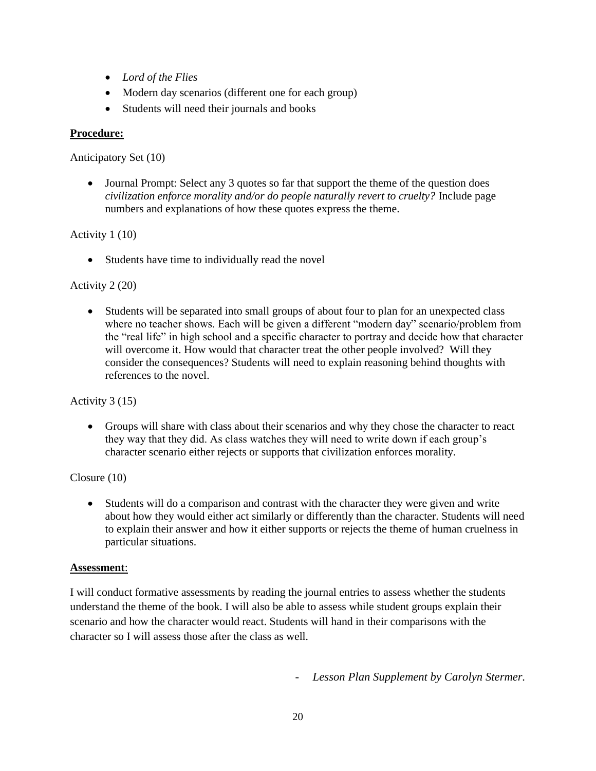- *Lord of the Flies*
- Modern day scenarios (different one for each group)
- Students will need their journals and books

### **Procedure:**

Anticipatory Set (10)

 Journal Prompt: Select any 3 quotes so far that support the theme of the question does *civilization enforce morality and/or do people naturally revert to cruelty?* Include page numbers and explanations of how these quotes express the theme.

### Activity 1 (10)

Students have time to individually read the novel

### Activity 2 (20)

 Students will be separated into small groups of about four to plan for an unexpected class where no teacher shows. Each will be given a different "modern day" scenario/problem from the "real life" in high school and a specific character to portray and decide how that character will overcome it. How would that character treat the other people involved? Will they consider the consequences? Students will need to explain reasoning behind thoughts with references to the novel.

### Activity 3 (15)

 Groups will share with class about their scenarios and why they chose the character to react they way that they did. As class watches they will need to write down if each group's character scenario either rejects or supports that civilization enforces morality.

### Closure (10)

 Students will do a comparison and contrast with the character they were given and write about how they would either act similarly or differently than the character. Students will need to explain their answer and how it either supports or rejects the theme of human cruelness in particular situations.

### **Assessment**:

I will conduct formative assessments by reading the journal entries to assess whether the students understand the theme of the book. I will also be able to assess while student groups explain their scenario and how the character would react. Students will hand in their comparisons with the character so I will assess those after the class as well.

- *Lesson Plan Supplement by Carolyn Stermer.*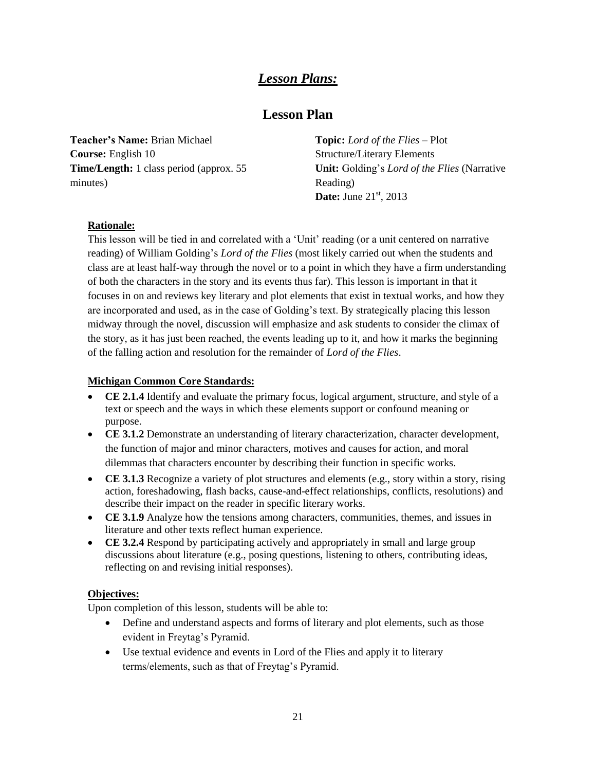## *Lesson Plans:*

## **Lesson Plan**

**Teacher's Name:** Brian Michael **Course:** English 10 **Time/Length:** 1 class period (approx. 55 minutes)

**Topic:** *Lord of the Flies* – Plot Structure/Literary Elements **Unit:** Golding's *Lord of the Flies* (Narrative Reading) **Date:** June 21<sup>st</sup>, 2013

### **Rationale:**

This lesson will be tied in and correlated with a 'Unit' reading (or a unit centered on narrative reading) of William Golding's *Lord of the Flies* (most likely carried out when the students and class are at least half-way through the novel or to a point in which they have a firm understanding of both the characters in the story and its events thus far). This lesson is important in that it focuses in on and reviews key literary and plot elements that exist in textual works, and how they are incorporated and used, as in the case of Golding's text. By strategically placing this lesson midway through the novel, discussion will emphasize and ask students to consider the climax of the story, as it has just been reached, the events leading up to it, and how it marks the beginning of the falling action and resolution for the remainder of *Lord of the Flies*.

### **Michigan Common Core Standards:**

- **CE 2.1.4** Identify and evaluate the primary focus, logical argument, structure, and style of a text or speech and the ways in which these elements support or confound meaning or purpose.
- **CE 3.1.2** Demonstrate an understanding of literary characterization, character development, the function of major and minor characters, motives and causes for action, and moral dilemmas that characters encounter by describing their function in specific works.
- **CE 3.1.3** Recognize a variety of plot structures and elements (e.g., story within a story, rising action, foreshadowing, flash backs, cause-and-effect relationships, conflicts, resolutions) and describe their impact on the reader in specific literary works.
- **CE 3.1.9** Analyze how the tensions among characters, communities, themes, and issues in literature and other texts reflect human experience.
- **CE 3.2.4** Respond by participating actively and appropriately in small and large group discussions about literature (e.g., posing questions, listening to others, contributing ideas, reflecting on and revising initial responses).

### **Objectives:**

Upon completion of this lesson, students will be able to:

- Define and understand aspects and forms of literary and plot elements, such as those evident in Freytag's Pyramid.
- Use textual evidence and events in Lord of the Flies and apply it to literary terms/elements, such as that of Freytag's Pyramid.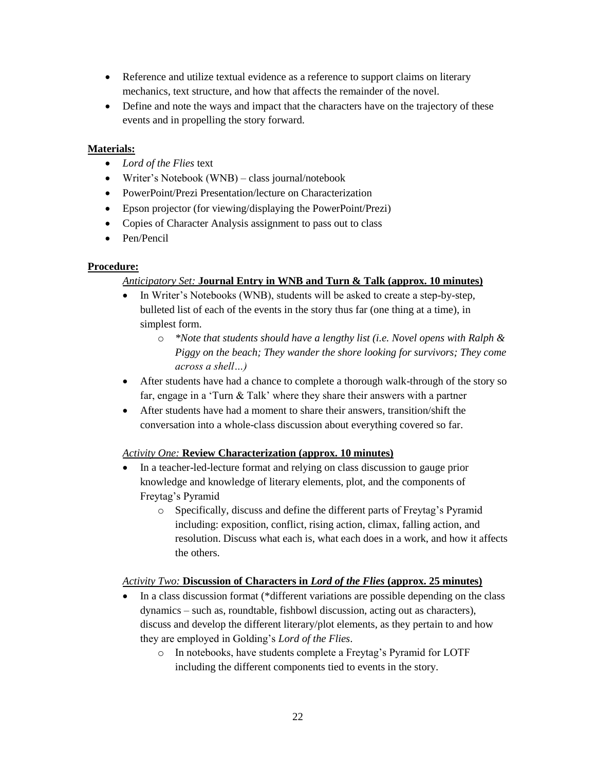- Reference and utilize textual evidence as a reference to support claims on literary mechanics, text structure, and how that affects the remainder of the novel.
- Define and note the ways and impact that the characters have on the trajectory of these events and in propelling the story forward.

### **Materials:**

- *Lord of the Flies* text
- Writer's Notebook (WNB) class journal/notebook
- PowerPoint/Prezi Presentation/lecture on Characterization
- Epson projector (for viewing/displaying the PowerPoint/Prezi)
- Copies of Character Analysis assignment to pass out to class
- Pen/Pencil

### **Procedure:**

### *Anticipatory Set:* **Journal Entry in WNB and Turn & Talk (approx. 10 minutes)**

- In Writer's Notebooks (WNB), students will be asked to create a step-by-step, bulleted list of each of the events in the story thus far (one thing at a time), in simplest form.
	- o *\*Note that students should have a lengthy list (i.e. Novel opens with Ralph & Piggy on the beach; They wander the shore looking for survivors; They come across a shell…)*
- After students have had a chance to complete a thorough walk-through of the story so far, engage in a 'Turn & Talk' where they share their answers with a partner
- After students have had a moment to share their answers, transition/shift the conversation into a whole-class discussion about everything covered so far.

### *Activity One:* **Review Characterization (approx. 10 minutes)**

- In a teacher-led-lecture format and relying on class discussion to gauge prior knowledge and knowledge of literary elements, plot, and the components of Freytag's Pyramid
	- o Specifically, discuss and define the different parts of Freytag's Pyramid including: exposition, conflict, rising action, climax, falling action, and resolution. Discuss what each is, what each does in a work, and how it affects the others.

### *Activity Two:* **Discussion of Characters in** *Lord of the Flies* **(approx. 25 minutes)**

- In a class discussion format (\*different variations are possible depending on the class dynamics – such as, roundtable, fishbowl discussion, acting out as characters), discuss and develop the different literary/plot elements, as they pertain to and how they are employed in Golding's *Lord of the Flies*.
	- o In notebooks, have students complete a Freytag's Pyramid for LOTF including the different components tied to events in the story.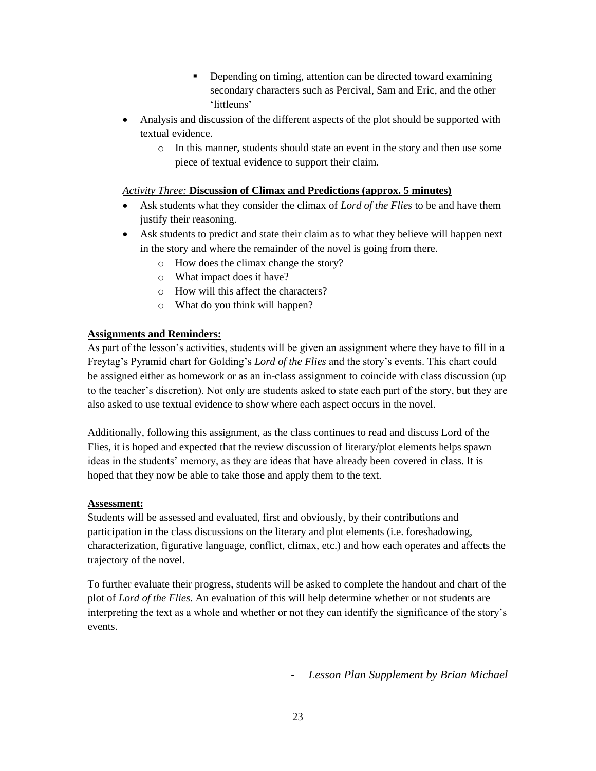- Depending on timing, attention can be directed toward examining secondary characters such as Percival, Sam and Eric, and the other 'littleuns'
- Analysis and discussion of the different aspects of the plot should be supported with textual evidence.
	- o In this manner, students should state an event in the story and then use some piece of textual evidence to support their claim.

### *Activity Three:* **Discussion of Climax and Predictions (approx. 5 minutes)**

- Ask students what they consider the climax of *Lord of the Flies* to be and have them justify their reasoning.
- Ask students to predict and state their claim as to what they believe will happen next in the story and where the remainder of the novel is going from there.
	- o How does the climax change the story?
	- o What impact does it have?
	- o How will this affect the characters?
	- o What do you think will happen?

#### **Assignments and Reminders:**

As part of the lesson's activities, students will be given an assignment where they have to fill in a Freytag's Pyramid chart for Golding's *Lord of the Flies* and the story's events. This chart could be assigned either as homework or as an in-class assignment to coincide with class discussion (up to the teacher's discretion). Not only are students asked to state each part of the story, but they are also asked to use textual evidence to show where each aspect occurs in the novel.

Additionally, following this assignment, as the class continues to read and discuss Lord of the Flies, it is hoped and expected that the review discussion of literary/plot elements helps spawn ideas in the students' memory, as they are ideas that have already been covered in class. It is hoped that they now be able to take those and apply them to the text.

#### **Assessment:**

Students will be assessed and evaluated, first and obviously, by their contributions and participation in the class discussions on the literary and plot elements (i.e. foreshadowing, characterization, figurative language, conflict, climax, etc.) and how each operates and affects the trajectory of the novel.

To further evaluate their progress, students will be asked to complete the handout and chart of the plot of *Lord of the Flies*. An evaluation of this will help determine whether or not students are interpreting the text as a whole and whether or not they can identify the significance of the story's events.

- *Lesson Plan Supplement by Brian Michael*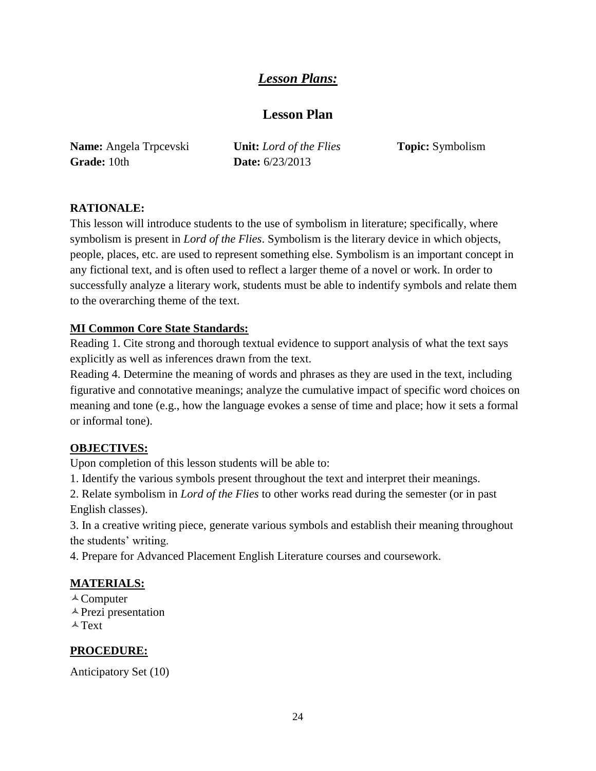## *Lesson Plans:*

## **Lesson Plan**

**Name:** Angela Trpcevski **Grade:** 10th

**Unit:** *Lord of the Flies* **Date:** 6/23/2013

**Topic:** Symbolism

## **RATIONALE:**

This lesson will introduce students to the use of symbolism in literature; specifically, where symbolism is present in *Lord of the Flies*. Symbolism is the literary device in which objects, people, places, etc. are used to represent something else. Symbolism is an important concept in any fictional text, and is often used to reflect a larger theme of a novel or work. In order to successfully analyze a literary work, students must be able to indentify symbols and relate them to the overarching theme of the text.

## **MI Common Core State Standards:**

Reading 1. Cite strong and thorough textual evidence to support analysis of what the text says explicitly as well as inferences drawn from the text.

Reading 4. Determine the meaning of words and phrases as they are used in the text, including figurative and connotative meanings; analyze the cumulative impact of specific word choices on meaning and tone (e.g., how the language evokes a sense of time and place; how it sets a formal or informal tone).

## **OBJECTIVES:**

Upon completion of this lesson students will be able to:

1. Identify the various symbols present throughout the text and interpret their meanings.

2. Relate symbolism in *Lord of the Flies* to other works read during the semester (or in past English classes).

3. In a creative writing piece, generate various symbols and establish their meaning throughout the students' writing.

4. Prepare for Advanced Placement English Literature courses and coursework.

## **MATERIALS:**

 $\triangle$  Computer  $\triangle$  Prezi presentation  $\triangle$  Text

## **PROCEDURE:**

Anticipatory Set (10)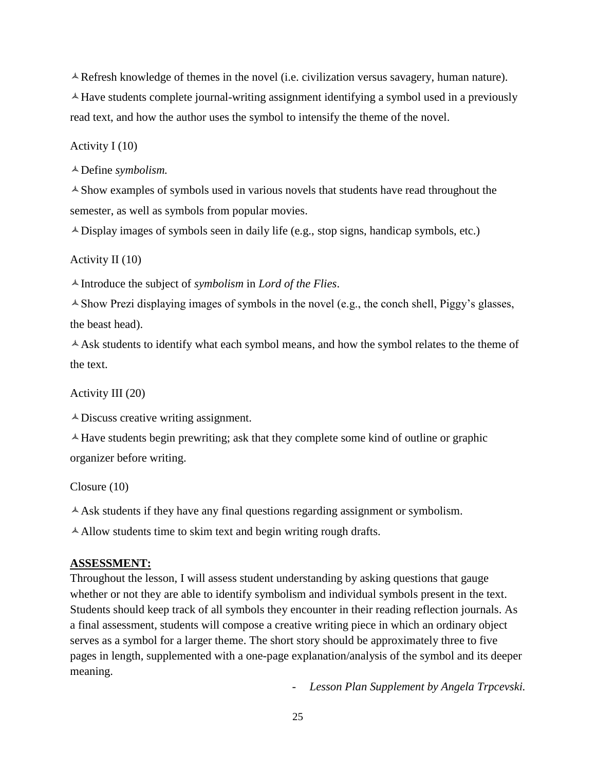$\triangle$  Refresh knowledge of themes in the novel (i.e. civilization versus savagery, human nature).  $\triangle$  Have students complete journal-writing assignment identifying a symbol used in a previously read text, and how the author uses the symbol to intensify the theme of the novel.

#### Activity I (10)

Define *symbolism.*

 $\triangle$  Show examples of symbols used in various novels that students have read throughout the semester, as well as symbols from popular movies.

 $\triangle$  Display images of symbols seen in daily life (e.g., stop signs, handicap symbols, etc.)

### Activity II (10)

Introduce the subject of *symbolism* in *Lord of the Flies*.

 $\triangle$  Show Prezi displaying images of symbols in the novel (e.g., the conch shell, Piggy's glasses, the beast head).

 $\triangle$  Ask students to identify what each symbol means, and how the symbol relates to the theme of the text.

Activity III (20)

Discuss creative writing assignment.

 $\triangle$  Have students begin prewriting; ask that they complete some kind of outline or graphic organizer before writing.

Closure (10)

 $\triangle$  Ask students if they have any final questions regarding assignment or symbolism.

 $\triangle$  Allow students time to skim text and begin writing rough drafts.

#### **ASSESSMENT:**

Throughout the lesson, I will assess student understanding by asking questions that gauge whether or not they are able to identify symbolism and individual symbols present in the text. Students should keep track of all symbols they encounter in their reading reflection journals. As a final assessment, students will compose a creative writing piece in which an ordinary object serves as a symbol for a larger theme. The short story should be approximately three to five pages in length, supplemented with a one-page explanation/analysis of the symbol and its deeper meaning.

- *Lesson Plan Supplement by Angela Trpcevski.*